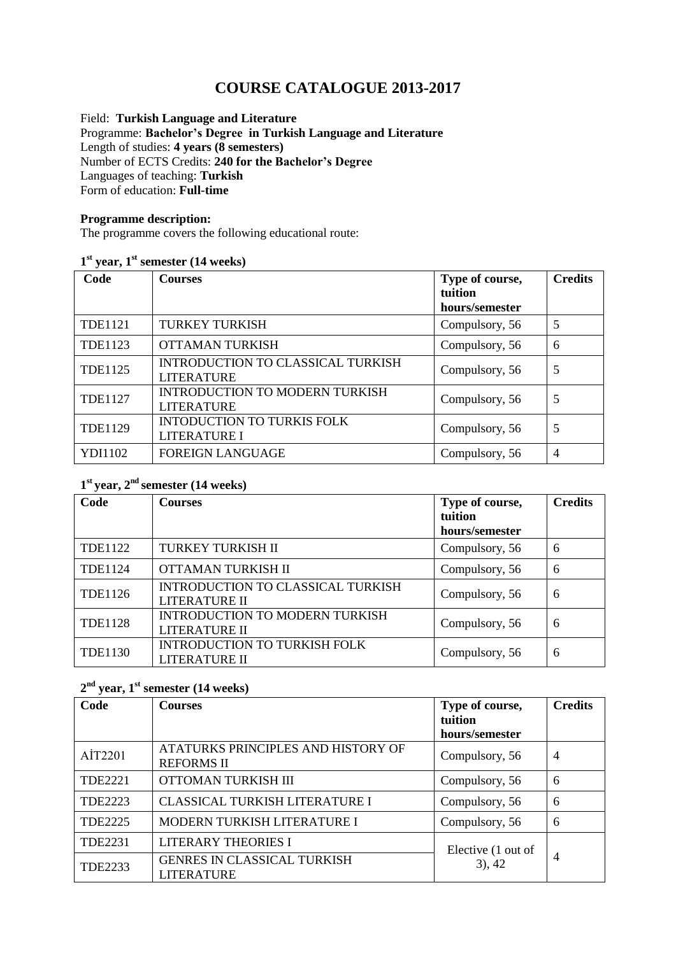# **COURSE CATALOGUE 2013-2017**

Field: **Turkish Language and Literature** Programme: **Bachelor's Degree in Turkish Language and Literature** Length of studies: **4 years (8 semesters)**  Number of ECTS Credits: **240 for the Bachelor's Degree** Languages of teaching: **Turkish** Form of education: **Full-time** 

#### **Programme description:**

The programme covers the following educational route:

#### **1 st year, 1st semester (14 weeks)**

| Code           | <b>Courses</b>                                             | Type of course,<br>tuition<br>hours/semester | <b>Credits</b> |
|----------------|------------------------------------------------------------|----------------------------------------------|----------------|
| <b>TDE1121</b> | <b>TURKEY TURKISH</b>                                      | Compulsory, 56                               | 5              |
| TDE1123        | <b>OTTAMAN TURKISH</b>                                     | Compulsory, 56                               | 6              |
| <b>TDE1125</b> | INTRODUCTION TO CLASSICAL TURKISH<br><b>LITERATURE</b>     | Compulsory, 56                               | 5              |
| <b>TDE1127</b> | <b>INTRODUCTION TO MODERN TURKISH</b><br><b>LITERATURE</b> | Compulsory, 56                               | 5              |
| <b>TDE1129</b> | <b>INTODUCTION TO TURKIS FOLK</b><br><b>LITERATURE I</b>   | Compulsory, 56                               | 5              |
| YDI1102        | <b>FOREIGN LANGUAGE</b>                                    | Compulsory, 56                               | $\overline{4}$ |

# **1 st year, 2nd semester (14 weeks)**

| Code           | <b>Courses</b>                                            | Type of course,           | <b>Credits</b> |
|----------------|-----------------------------------------------------------|---------------------------|----------------|
|                |                                                           | tuition<br>hours/semester |                |
| <b>TDE1122</b> | TURKEY TURKISH II                                         | Compulsory, 56            | 6              |
| <b>TDE1124</b> | OTTAMAN TURKISH II                                        | Compulsory, 56            | 6              |
| <b>TDE1126</b> | INTRODUCTION TO CLASSICAL TURKISH<br><b>LITERATURE II</b> | Compulsory, 56            | 6              |
| <b>TDE1128</b> | <b>INTRODUCTION TO MODERN TURKISH</b><br>LITERATURE II    | Compulsory, 56            | 6              |
| <b>TDE1130</b> | INTRODUCTION TO TURKISH FOLK<br><b>LITERATURE II</b>      | Compulsory, 56            | 6              |

# **2 nd year, 1st semester (14 weeks)**

| Code           | <b>Courses</b>                                          | Type of course,           | <b>Credits</b> |
|----------------|---------------------------------------------------------|---------------------------|----------------|
|                |                                                         | tuition<br>hours/semester |                |
| AIT2201        | ATATURKS PRINCIPLES AND HISTORY OF<br><b>REFORMS II</b> | Compulsory, 56            | $\overline{4}$ |
| <b>TDE2221</b> | OTTOMAN TURKISH III                                     | Compulsory, 56            | 6              |
| TDE2223        | <b>CLASSICAL TURKISH LITERATURE I</b>                   | Compulsory, 56            | 6              |
| <b>TDE2225</b> | MODERN TURKISH LITERATURE I                             | Compulsory, 56            | 6              |
| <b>TDE2231</b> | <b>LITERARY THEORIES I</b>                              | Elective (1 out of        |                |
| <b>TDE2233</b> | GENRES IN CLASSICAL TURKISH<br><b>LITERATURE</b>        | $3)$ , 42                 | $\overline{4}$ |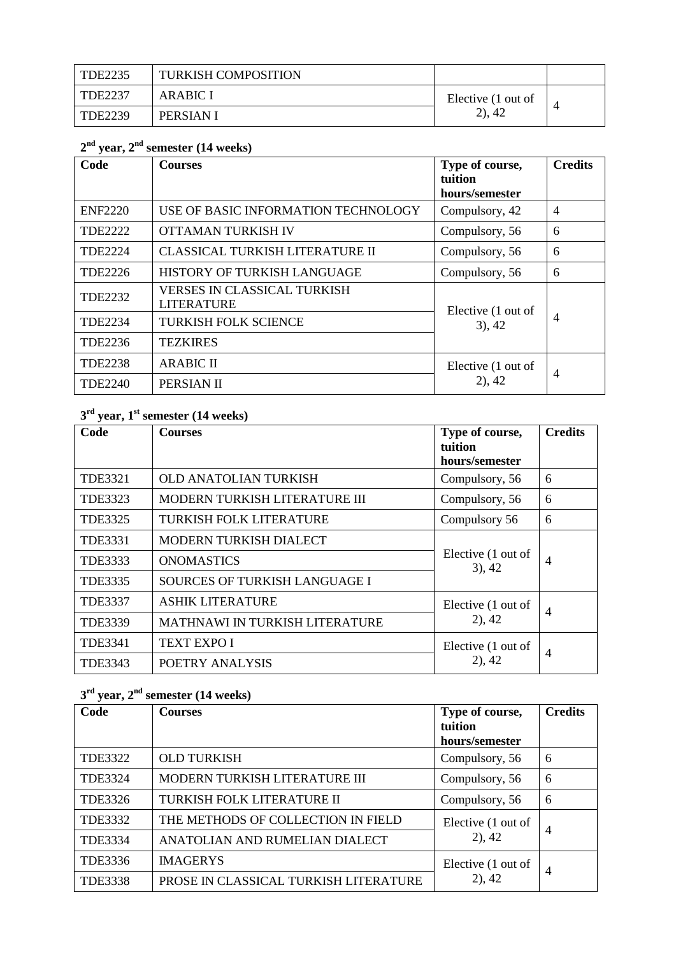| TDE2235 | <b>TURKISH COMPOSITION</b> |                    |  |
|---------|----------------------------|--------------------|--|
| TDE2237 | <b>ARABIC I</b>            | Elective (1 out of |  |
| TDE2239 | PERSIAN I                  | (2), 42            |  |

#### **2 nd year, 2 nd semester (14 weeks)**

| Code           | <b>Courses</b>                                          | Type of course,<br>tuition<br>hours/semester | <b>Credits</b> |
|----------------|---------------------------------------------------------|----------------------------------------------|----------------|
| <b>ENF2220</b> | USE OF BASIC INFORMATION TECHNOLOGY                     | Compulsory, 42                               | $\overline{4}$ |
| <b>TDE2222</b> | OTTAMAN TURKISH IV                                      | Compulsory, 56                               | 6              |
| <b>TDE2224</b> | CLASSICAL TURKISH LITERATURE II                         | Compulsory, 56                               | 6              |
| <b>TDE2226</b> | HISTORY OF TURKISH LANGUAGE                             | Compulsory, 56                               | 6              |
| <b>TDE2232</b> | <b>VERSES IN CLASSICAL TURKISH</b><br><b>LITERATURE</b> | Elective (1 out of                           |                |
| TDE2234        | <b>TURKISH FOLK SCIENCE</b>                             | $3)$ , 42                                    | $\overline{4}$ |
| TDE2236        | <b>TEZKIRES</b>                                         |                                              |                |
| <b>TDE2238</b> | <b>ARABIC II</b>                                        | Elective (1 out of                           | $\overline{4}$ |
| <b>TDE2240</b> | PERSIAN II                                              | $2)$ , 42                                    |                |

## **3 rd year, 1 st semester (14 weeks)**

| Code           | <b>Courses</b>                 | Type of course,<br>tuition<br>hours/semester | <b>Credits</b> |
|----------------|--------------------------------|----------------------------------------------|----------------|
| <b>TDE3321</b> | <b>OLD ANATOLIAN TURKISH</b>   | Compulsory, 56                               | 6              |
| <b>TDE3323</b> | MODERN TURKISH LITERATURE III  | Compulsory, 56                               | 6              |
| <b>TDE3325</b> | <b>TURKISH FOLK LITERATURE</b> | Compulsory 56                                | 6              |
| TDE3331        | MODERN TURKISH DIALECT         | Elective (1 out of<br>$3)$ , 42              | $\overline{4}$ |
| <b>TDE3333</b> | <b>ONOMASTICS</b>              |                                              |                |
| <b>TDE3335</b> | SOURCES OF TURKISH LANGUAGE I  |                                              |                |
| <b>TDE3337</b> | <b>ASHIK LITERATURE</b>        | Elective (1 out of<br>$2)$ , 42              | $\overline{4}$ |
| <b>TDE3339</b> | MATHNAWI IN TURKISH LITERATURE |                                              |                |
| TDE3341        | <b>TEXT EXPO I</b>             | Elective (1 out of<br>$2)$ , 42              | 4              |
| TDE3343        | POETRY ANALYSIS                |                                              |                |

## **3 rd year, 2 nd semester (14 weeks)**

| Code           | <b>Courses</b>                        | Type of course,                 | <b>Credits</b> |
|----------------|---------------------------------------|---------------------------------|----------------|
|                |                                       | tuition                         |                |
|                |                                       | hours/semester                  |                |
| <b>TDE3322</b> | <b>OLD TURKISH</b>                    | Compulsory, 56                  | 6              |
| <b>TDE3324</b> | MODERN TURKISH LITERATURE III         | Compulsory, 56                  | 6              |
| <b>TDE3326</b> | TURKISH FOLK LITERATURE II            | Compulsory, 56                  | 6              |
| TDE3332        | THE METHODS OF COLLECTION IN FIELD    | Elective (1 out of              | $\overline{4}$ |
| TDE3334        | ANATOLIAN AND RUMELIAN DIALECT        | (2), 42                         |                |
| TDE3336        | <b>IMAGERYS</b>                       | Elective (1 out of<br>$2)$ , 42 | $\overline{4}$ |
| <b>TDE3338</b> | PROSE IN CLASSICAL TURKISH LITERATURE |                                 |                |